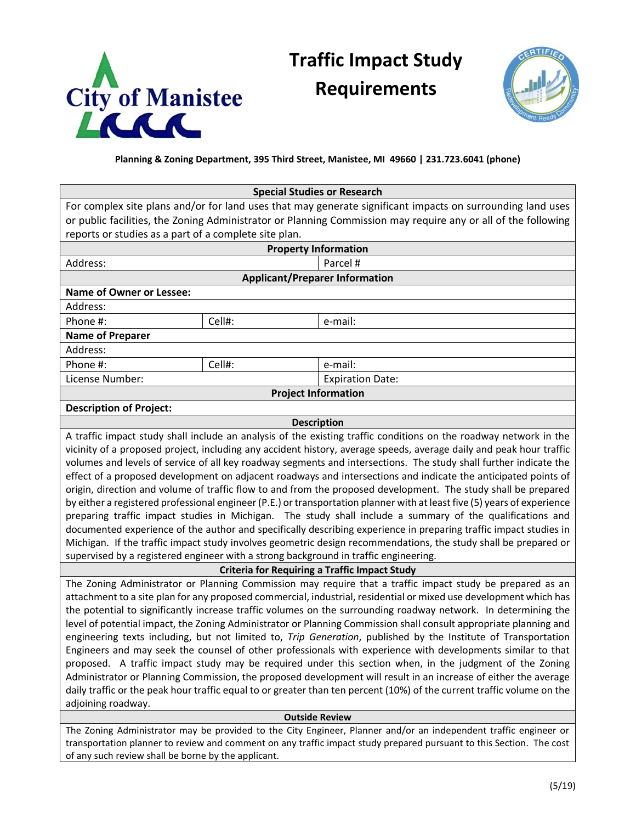

## **Traffic Impact Study Requirements**



## **Planning & Zoning Department, 395 Third Street, Manistee, MI 49660 | 231.723.6041 (phone)**

| <b>Special Studies or Research</b>                                                                                       |                                                                                                                  |                         |  |
|--------------------------------------------------------------------------------------------------------------------------|------------------------------------------------------------------------------------------------------------------|-------------------------|--|
| For complex site plans and/or for land uses that may generate significant impacts on surrounding land uses               |                                                                                                                  |                         |  |
| or public facilities, the Zoning Administrator or Planning Commission may require any or all of the following            |                                                                                                                  |                         |  |
| reports or studies as a part of a complete site plan.                                                                    |                                                                                                                  |                         |  |
| <b>Property Information</b>                                                                                              |                                                                                                                  |                         |  |
| Address:                                                                                                                 |                                                                                                                  | Parcel #                |  |
| <b>Applicant/Preparer Information</b>                                                                                    |                                                                                                                  |                         |  |
| <b>Name of Owner or Lessee:</b>                                                                                          |                                                                                                                  |                         |  |
| Address:                                                                                                                 |                                                                                                                  |                         |  |
| Phone #:<br>Cell#:                                                                                                       |                                                                                                                  | e-mail:                 |  |
| <b>Name of Preparer</b>                                                                                                  |                                                                                                                  |                         |  |
| Address:                                                                                                                 |                                                                                                                  |                         |  |
| Phone #:<br>Cell#:                                                                                                       |                                                                                                                  | e-mail:                 |  |
| License Number:                                                                                                          |                                                                                                                  | <b>Expiration Date:</b> |  |
|                                                                                                                          | <b>Project Information</b>                                                                                       |                         |  |
| <b>Description of Project:</b>                                                                                           |                                                                                                                  |                         |  |
| <b>Description</b>                                                                                                       |                                                                                                                  |                         |  |
| A traffic impact study shall include an analysis of the existing traffic conditions on the roadway network in the        |                                                                                                                  |                         |  |
| vicinity of a proposed project, including any accident history, average speeds, average daily and peak hour traffic      |                                                                                                                  |                         |  |
| volumes and levels of service of all key roadway segments and intersections. The study shall further indicate the        |                                                                                                                  |                         |  |
| effect of a proposed development on adjacent roadways and intersections and indicate the anticipated points of           |                                                                                                                  |                         |  |
| origin, direction and volume of traffic flow to and from the proposed development. The study shall be prepared           |                                                                                                                  |                         |  |
| by either a registered professional engineer (P.E.) or transportation planner with at least five (5) years of experience |                                                                                                                  |                         |  |
| preparing traffic impact studies in Michigan. The study shall include a summary of the qualifications and                |                                                                                                                  |                         |  |
| documented experience of the author and specifically describing experience in preparing traffic impact studies in        |                                                                                                                  |                         |  |
| Michigan. If the traffic impact study involves geometric design recommendations, the study shall be prepared or          |                                                                                                                  |                         |  |
| supervised by a registered engineer with a strong background in traffic engineering.                                     |                                                                                                                  |                         |  |
| <b>Criteria for Requiring a Traffic Impact Study</b>                                                                     |                                                                                                                  |                         |  |
| The Zoning Administrator or Planning Commission may require that a traffic impact study be prepared as an                |                                                                                                                  |                         |  |
| attachment to a site plan for any proposed commercial, industrial, residential or mixed use development which has        |                                                                                                                  |                         |  |
| the potential to significantly increase traffic volumes on the surrounding roadway network. In determining the           |                                                                                                                  |                         |  |
| level of potential impact, the Zoning Administrator or Planning Commission shall consult appropriate planning and        |                                                                                                                  |                         |  |
| engineering texts including, but not limited to, Trip Generation, published by the Institute of Transportation           |                                                                                                                  |                         |  |
| Engineers and may seek the counsel of other professionals with experience with developments similar to that              |                                                                                                                  |                         |  |
| proposed. A traffic impact study may be required under this section when, in the judgment of the Zoning                  |                                                                                                                  |                         |  |
| Administrator or Planning Commission, the proposed development will result in an increase of either the average          |                                                                                                                  |                         |  |
| daily traffic or the peak hour traffic equal to or greater than ten percent (10%) of the current traffic volume on the   |                                                                                                                  |                         |  |
| adjoining roadway.                                                                                                       |                                                                                                                  |                         |  |
| <b>Outside Review</b>                                                                                                    |                                                                                                                  |                         |  |
|                                                                                                                          | The Zoning Administrator may be provided to the City Engineer, Planner and/or an independent traffic engineer or |                         |  |

transportation planner to review and comment on any traffic impact study prepared pursuant to this Section. The cost of any such review shall be borne by the applicant.